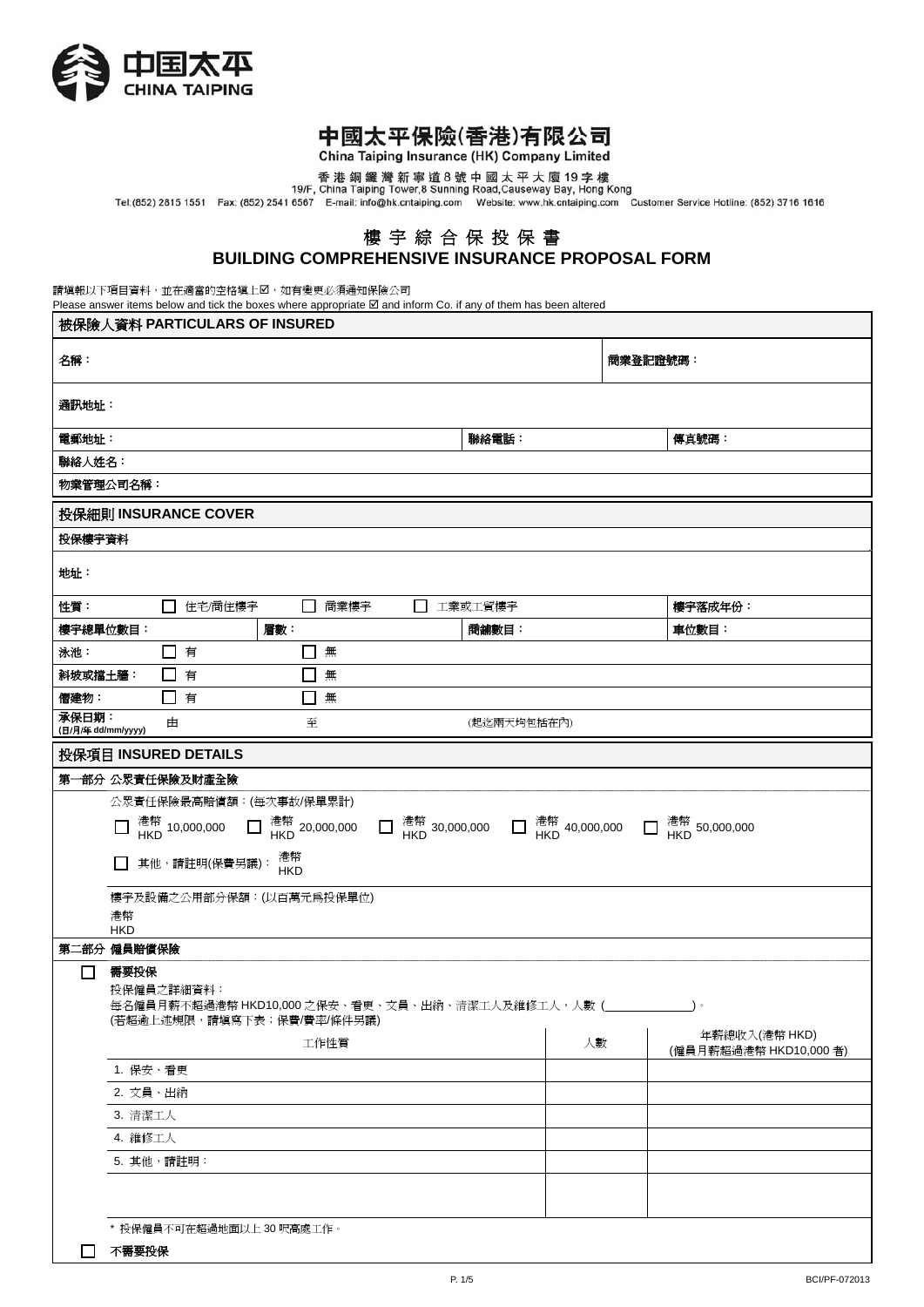

# 中國太平保險(香港)有限公司

China Taiping Insurance (HK) Company Limited

香港銅鑼灣新寧道8號中國太平大廈19字樓<br>19/F, China Taiping Tower,8 Sunning Road,Causeway Bay, Hong Kong<br>Tel:(852) 2815 1551 Fax: (852) 2541 6567 E-mail: info@hk.cntaiping.com Website: www.hk.cntaiping.com Customer Service Hotline: (852) 37

## 樓 宇 綜 合 保 投 保 書 **BUILDING COMPREHENSIVE INSURANCE PROPOSAL FORM**

請填報以下項目資料,並在適當的空格填上2,如有變更必須通知保險公司

Please answer items below and tick the boxes where appropriate  $\boxtimes$  and inform Co. if any of them has been altered

| 被保險人資料 PARTICULARS OF INSURED                                                                                                                                                         |             |          |         |  |  |  |  |  |  |
|---------------------------------------------------------------------------------------------------------------------------------------------------------------------------------------|-------------|----------|---------|--|--|--|--|--|--|
| 名稱:                                                                                                                                                                                   |             | 商業登記證號碼: |         |  |  |  |  |  |  |
| 通訊地址:                                                                                                                                                                                 |             |          |         |  |  |  |  |  |  |
| 電郵地址:                                                                                                                                                                                 | 聯絡電話:       |          | 傳真號碼:   |  |  |  |  |  |  |
| 聯絡人姓名:                                                                                                                                                                                |             |          |         |  |  |  |  |  |  |
| 物業管理公司名稱:                                                                                                                                                                             |             |          |         |  |  |  |  |  |  |
| 投保細則 INSURANCE COVER                                                                                                                                                                  |             |          |         |  |  |  |  |  |  |
| 投保樓宇資料                                                                                                                                                                                |             |          |         |  |  |  |  |  |  |
| 地址:                                                                                                                                                                                   |             |          |         |  |  |  |  |  |  |
| □ 住宅/商住樓宇<br>□ 商業樓宇<br>性質:                                                                                                                                                            | □ 工業或工貿樓宇   |          | 樓宇落成年份: |  |  |  |  |  |  |
| 樓宇總單位數目:<br>層數:                                                                                                                                                                       | 商舗數目:       |          | 車位數目:   |  |  |  |  |  |  |
| □ 有<br>泳池:<br>$\Box$<br>無                                                                                                                                                             |             |          |         |  |  |  |  |  |  |
| 無<br>斜坡或擋土牆:<br>有<br>$\mathsf{L}$                                                                                                                                                     |             |          |         |  |  |  |  |  |  |
| 僭建物:<br>□ 有<br>無<br>$\blacksquare$<br>承保日期:                                                                                                                                           |             |          |         |  |  |  |  |  |  |
| 至<br>由<br>(日/月/年 dd/mm/yyyy)                                                                                                                                                          | (起迄兩天均包括在內) |          |         |  |  |  |  |  |  |
| 投保項目 INSURED DETAILS                                                                                                                                                                  |             |          |         |  |  |  |  |  |  |
| 第一部分 公眾責任保險及財產全險                                                                                                                                                                      |             |          |         |  |  |  |  |  |  |
| 公眾責任保險最高賠償額:(每次事故/保單累計)<br>$\Box$ HKD 10,000,000<br>$\Box$ HKD 20,000,000<br>港幣<br>其他,請註明(保費另議):<br>$\mathsf{L}$<br><b>HKD</b>                                                        |             |          |         |  |  |  |  |  |  |
| 樓宇及設備之公用部分保額:(以百萬元爲投保單位)<br>港幣<br><b>HKD</b>                                                                                                                                          |             |          |         |  |  |  |  |  |  |
| 第二部分 僱員賠償保險                                                                                                                                                                           |             |          |         |  |  |  |  |  |  |
| 需要投保<br>ΙI<br>投保僱員之詳細資料:<br>每名僱員月薪不超過港幣 HKD10,000 之保安、看更、文員、出納、清潔工人及維修工人,人數 (<br>$\rightarrow$<br>(若超逾上述規限,請填寫下表;保費/費率/條件另議)<br>年薪總收入(港幣 HKD)<br>工作性質<br>人數<br>(僱員月薪超過港幣 HKD10,000 者) |             |          |         |  |  |  |  |  |  |
| 1. 保安、看更                                                                                                                                                                              |             |          |         |  |  |  |  |  |  |
| 2. 文員、出納                                                                                                                                                                              |             |          |         |  |  |  |  |  |  |
| 3. 清潔工人                                                                                                                                                                               |             |          |         |  |  |  |  |  |  |
| 4. 維修工人                                                                                                                                                                               |             |          |         |  |  |  |  |  |  |
| 5. 其他,請註明:                                                                                                                                                                            |             |          |         |  |  |  |  |  |  |
|                                                                                                                                                                                       |             |          |         |  |  |  |  |  |  |
| * 投保僱員不可在超過地面以上 30 呎高處工作。                                                                                                                                                             |             |          |         |  |  |  |  |  |  |
| 不需要投保                                                                                                                                                                                 |             |          |         |  |  |  |  |  |  |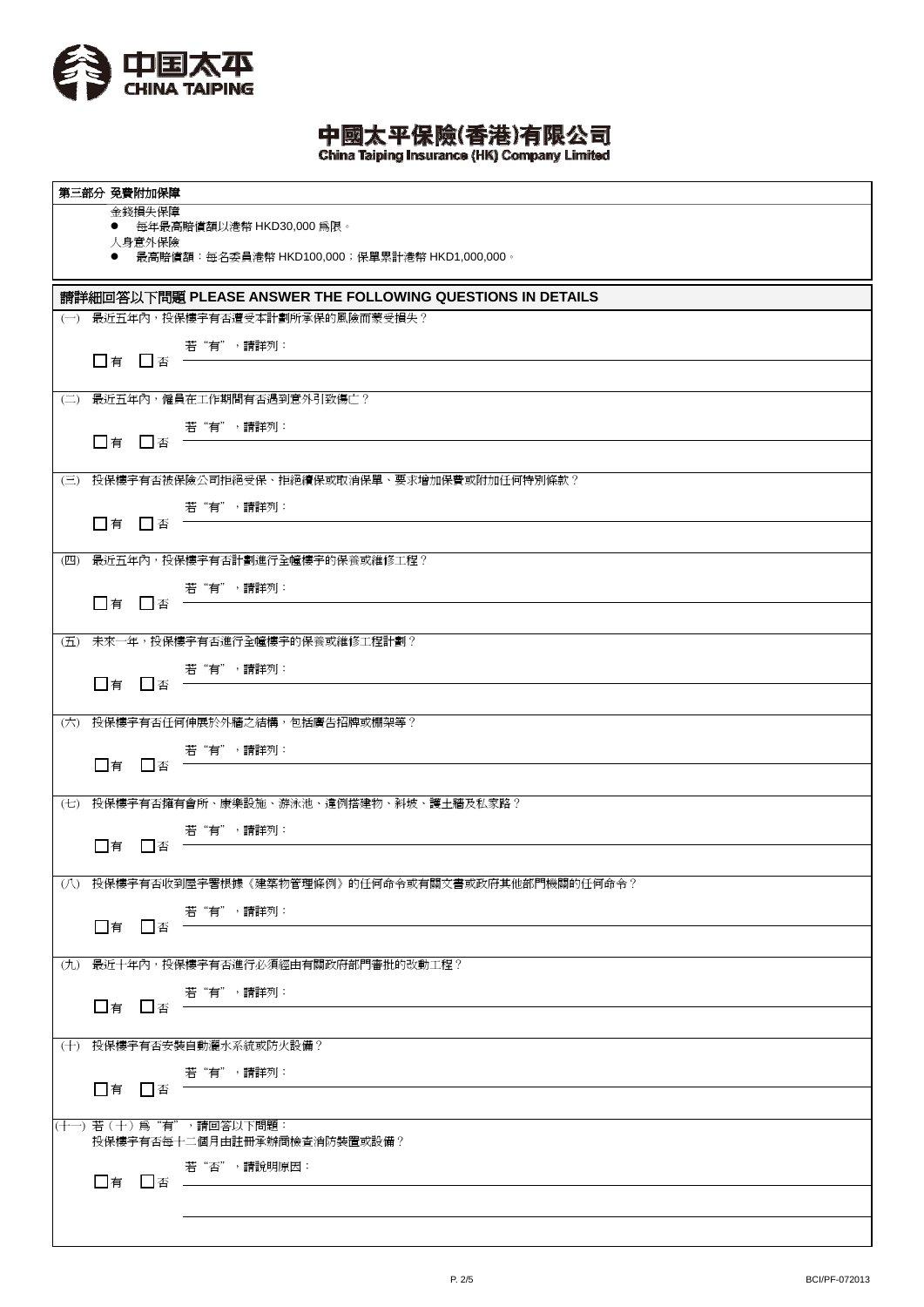

中國太平保險(香港)有限公司<br>China Taiping Insurance (HK) Company Limited

|                                                            | 第三部分 免費附加保障 |                                                      |  |  |  |  |  |  |  |
|------------------------------------------------------------|-------------|------------------------------------------------------|--|--|--|--|--|--|--|
|                                                            | 金錢損失保障      |                                                      |  |  |  |  |  |  |  |
|                                                            | 人身意外保險      | ● 每年最高賠償額以港幣 HKD30,000 為限。                           |  |  |  |  |  |  |  |
|                                                            |             | ● 最高賠償額:每名委員港幣 HKD100,000;保單累計港幣 HKD1,000,000。       |  |  |  |  |  |  |  |
| 請詳細回答以下問題 PLEASE ANSWER THE FOLLOWING QUESTIONS IN DETAILS |             |                                                      |  |  |  |  |  |  |  |
|                                                            |             | (一) 最近五年內, 投保樓宇有否遭受本計劃所承保的風險而蒙受損失?                   |  |  |  |  |  |  |  |
|                                                            |             | 若"有",請詳列:                                            |  |  |  |  |  |  |  |
|                                                            |             | $\Box$ 有 $\Box$ 否 $\qquad$                           |  |  |  |  |  |  |  |
|                                                            |             | (二) 最近五年內,僱員在工作期間有否遇到意外引致傷亡?                         |  |  |  |  |  |  |  |
|                                                            |             | 若"有",請詳列:                                            |  |  |  |  |  |  |  |
|                                                            | □有 □否 一     |                                                      |  |  |  |  |  |  |  |
|                                                            |             | (三) 投保樓宇有否被保險公司拒絕受保、拒絕續保或取消保單、要求增加保費或附加任何特別條款?       |  |  |  |  |  |  |  |
|                                                            |             | 若"有",請詳列:                                            |  |  |  |  |  |  |  |
|                                                            | □有 □否 =     |                                                      |  |  |  |  |  |  |  |
|                                                            |             | (四) 最近五年內,投保樓宇有否計劃進行全幢樓宇的保養或維修工程?                    |  |  |  |  |  |  |  |
|                                                            |             |                                                      |  |  |  |  |  |  |  |
|                                                            |             | □有 □否 若 "有",請詳列:                                     |  |  |  |  |  |  |  |
|                                                            |             | (五) 未來一年,投保樓宇有否進行全幢樓宇的保養或維修工程計劃?                     |  |  |  |  |  |  |  |
|                                                            |             | 若"有",請詳列:                                            |  |  |  |  |  |  |  |
|                                                            | □有 □否 =     |                                                      |  |  |  |  |  |  |  |
|                                                            |             | (六) 投保樓宇有否任何伸展於外牆之結構,包括廣告招牌或棚架等?                     |  |  |  |  |  |  |  |
|                                                            |             | 若"有",請詳列:                                            |  |  |  |  |  |  |  |
|                                                            | □有 □否 =     |                                                      |  |  |  |  |  |  |  |
|                                                            |             | (七) 投保樓宇有否擁有會所、康樂設施、游泳池、違例搭建物、斜坡、護土牆及私家路?            |  |  |  |  |  |  |  |
|                                                            |             | 若"有",請詳列:                                            |  |  |  |  |  |  |  |
|                                                            | □有 □否       |                                                      |  |  |  |  |  |  |  |
|                                                            |             | (八) 投保樓宇有否收到屋宇署根據《建築物管理條例》的任何命令或有關文書或政府其他部門機關的任何命令?  |  |  |  |  |  |  |  |
|                                                            |             | 若"有",請詳列:                                            |  |  |  |  |  |  |  |
|                                                            | □有 □否       |                                                      |  |  |  |  |  |  |  |
|                                                            |             | (九) 最近十年內,投保樓宇有否進行必須經由有關政府部門審批的改動工程?                 |  |  |  |  |  |  |  |
|                                                            |             | 若"有",請詳列:                                            |  |  |  |  |  |  |  |
|                                                            | □有 □否       |                                                      |  |  |  |  |  |  |  |
|                                                            |             | (十) 投保樓宇有否安裝自動灑水系統或防火設備?                             |  |  |  |  |  |  |  |
|                                                            |             | 若"有",請詳列:                                            |  |  |  |  |  |  |  |
|                                                            | □有 □否 =     |                                                      |  |  |  |  |  |  |  |
|                                                            |             | (十一)若(十)爲"有",請回答以下問題:<br>投保樓宇有否每十二個月由註冊承辦商檢查消防裝置或設備? |  |  |  |  |  |  |  |
|                                                            |             | 若"否",請說明原因:                                          |  |  |  |  |  |  |  |
|                                                            |             | □有 □否 ————                                           |  |  |  |  |  |  |  |
|                                                            |             |                                                      |  |  |  |  |  |  |  |
|                                                            |             |                                                      |  |  |  |  |  |  |  |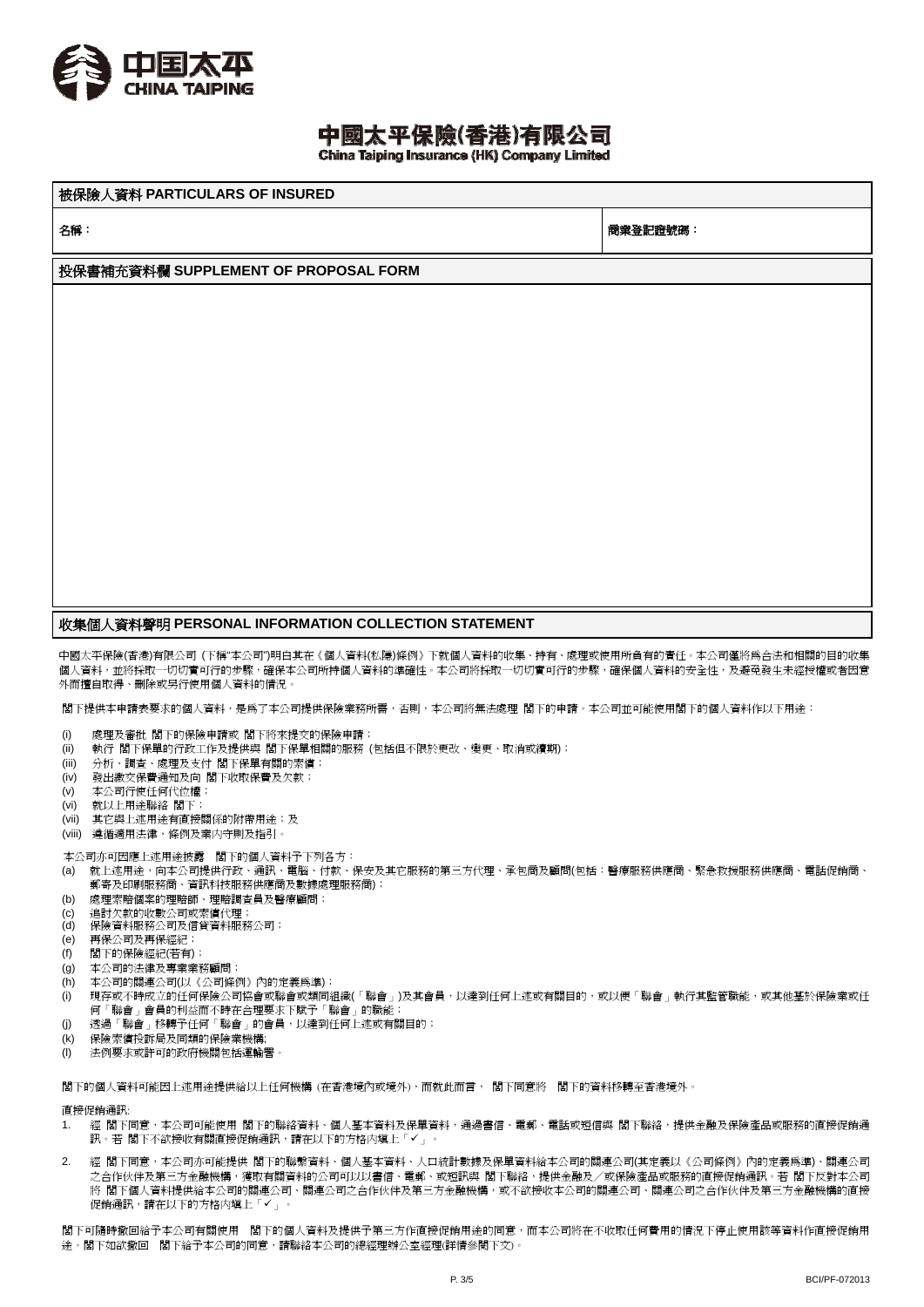

## 中國太平保險(香港)有限公司

China Taiping Insurance (HK) Company Limited

被保險人資料 **PARTICULARS OF INSURED**

名稱: 商業登記證號碼:

#### 投保書補充資料欄 **SUPPLEMENT OF PROPOSAL FORM**

### 收集個人資料聲明 **PERSONAL INFORMATION COLLECTION STATEMENT**

中國太平保險(香港)有限公司 (下稱"本公司")明白其在《個人資料(私隱)條例》下就個人資料的收集、持有、處理或使用所負有的責任。本公司僅將為合法和相關的目的收集 個人資料,並將採取一切切實可行的步驟,確保本公司所持個人資料的準確性。本公司將採取一切切實可行的步驟,確保個人資料的安全性,及避免發生未經授權或者因意 外而擅自取得、刪除或另行使用個人資料的情況。

閣下提供本申請表要求的個人資料,是為了本公司提供保險業務所需,否則,本公司將無法處理 閣下的申請。本公司並可能使用閣下的個人資料作以下用途:

- (i) 處理及審批 閣下的保險申請或 閣下將來提交的保險申請;
- (ii) 執行 閣下保單的行政工作及提供與 閣下保單相關的服務 (包括但不限於更改、變更、取消或續期);
- (iii) 分析、調查、處理及支付 閣下保單有關的索償;
- (iv) 發出繳交保費通知及向 閣下收取保費及欠款;
- (v) 本公司行使任何代位權;
- (vi) 就以上用途聯絡 閣下;
- (vii) 其它與上述用途有直接關係的附帶用涂;及
- (viii) 遵循適用法律,條例及業内守則及指引。

本公司亦可因應上述用途披露 閣下的個人資料予下列各方:

- (a) 就上述用途,向本公司提供行政、通訊、電腦、付款、保安及其它服務的第三方代理、承包商及顧問(包括:醫療服務供應商、緊急救援服務供應商、電話促銷商、 郵寄及印刷服務商、資訊科技服務供應商及數據處理服務商);
- (b) 處理索賠個案的理賠師、理賠調查員及醫療顧問;
- (c) 追討欠款的收數公司或索償代理;
- (d) 保險資料服務公司及信貸資料服務公司;
- (e) 再保公司及再保經紀;
- (f) 閣下的保險經紀(若有);
- (g) 本公司的法律及專業業務顧問;
- (h) 本公司的關連公司(以《公司條例》內的定義為準);
- (i) 現存或不時成立的任何保險公司協會或聯會或類同組織(「聯會」)及其會員,以達到任何上述或有關目的,或以便「聯會」執行其監管職能,或其他基於保險業或任 何「聯會」會員的利益而不時在合理要求下賦予「聯會」的職能;
- (j) 透過「聯會」移轉予任何「聯會」的會員,以達到任何上述或有關目的;
- (k) 保險索償投訴局及同類的保險業機構;
- (I) 法例要求或許可的政府機關包括運輸署

閣下的個人資料可能因上述用途提供給以上任何機構 (在香港境內或境外),而就此而言, 閣下同意將 閣下的資料移轉至香港境外。

直接促銷通訊:

- 1. 經 閣下同意,本公司可能使用 閣下的聯絡資料、個人基本資料及保單資料,通過書信、電郵、電話或短信與 閣下聯絡,提供金融及保險產品或服務的直接促銷通 訊。若 閣下不欲接收有關直接促銷通訊,請在以下的方格内塡上「✔」。
- 2. 經 閣下同意,本公司亦可能提供 閣下的聯繫資料、個人基本資料、人口統計數據及保單資料給本公司的關連公司(其定義以《公司條例》內的定義為準)、關連公司 之合作伙伴及第三方金融機構,獲取有關資料的公司可以以書信、電郵、或短訊與 閣下聯絡,提供金融及/或保險產品或服務的直接促銷通訊。若 閣下反對本公司 將 閣下個人資料提供給本公司的關連公司、關連公司之合作伙伴及第三方金融機構,或不欲接收本公司的關連公司、關連公司之合作伙伴及第三方金融機構的直接 促銷通訊,請在以下的方格内填上「」。

閣下可隨時撤回給予本公司有關使用 閣下的個人資料及提供予第三方作直接促銷用途的同意,而本公司將在不收取任何費用的情況下停止使用該等資料作直接促銷用 途。閣下如欲撤回 閣下給予本公司的同意,請聯絡本公司的總經理辦公室經理(詳情參閱下文)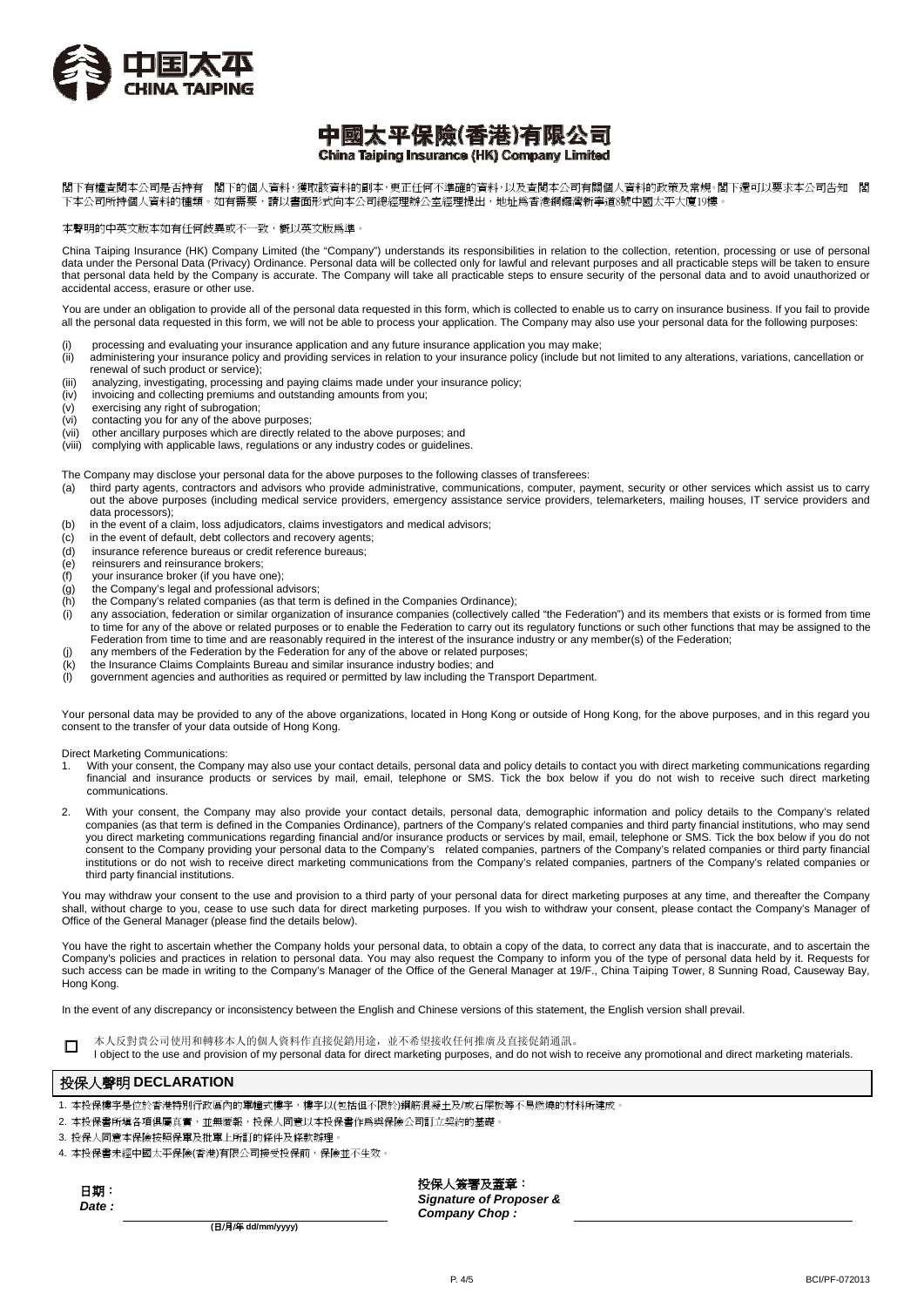

#### 中國太平保險(香港)有限公司 China Taiping Insurance (HK) Company Limited

閣下有權查閱本公司是否持有 閣下的個人資料,獲取該資料的副本,更正任何不準確的資料,以及查閱本公司有關個人資料的政策及常規。閣下還可以要求本公司告知 閣 下本公司所持個人資料的種類。如有需要,請以書面形式向本公司總經理辦公室經理提出,地址爲香港銅鑼灣新寧道8號中國太平大廈19樓。

本聲明的中英文版本如有任何歧異或不一致,概以英文版為準。

China Taiping Insurance (HK) Company Limited (the "Company") understands its responsibilities in relation to the collection, retention, processing or use of personal data under the Personal Data (Privacy) Ordinance. Personal data will be collected only for lawful and relevant purposes and all practicable steps will be taken to ensure that personal data held by the Company is accurate. The Company will take all practicable steps to ensure security of the personal data and to avoid unauthorized or accidental access, erasure or other use.

You are under an obligation to provide all of the personal data requested in this form, which is collected to enable us to carry on insurance business. If you fail to provide all the personal data requested in this form, we will not be able to process your application. The Company may also use your personal data for the following purposes:

- 
- (i) processing and evaluating your insurance application and any future insurance application you may make;<br>(ii) administering your insurance policy and providing services in relation to your insurance policy (include but administering your insurance policy and providing services in relation to your insurance policy (include but not limited to any alterations, variations, cancellation or renewal of such product or service);
- (iii) analyzing, investigating, processing and paying claims made under your insurance policy;
- (iv) invoicing and collecting premiums and outstanding amounts from you;
- (v) exercising any right of subrogation;
- (vi) contacting you for any of the above purposes;
- (vii) other ancillary purposes which are directly related to the above purposes; and
- (viii) complying with applicable laws, regulations or any industry codes or guidelines.

The Company may disclose your personal data for the above purposes to the following classes of transferees:<br>(a) third party agents, contractors and advisors who provide administrative, communications, computer, pa

- third party agents, contractors and advisors who provide administrative, communications, computer, payment, security or other services which assist us to carry out the above purposes (including medical service providers, emergency assistance service providers, telemarketers, mailing houses, IT service providers and data processors);
- (b) in the event of a claim, loss adjudicators, claims investigators and medical advisors;
- $(c)$  in the event of default, debt collectors and recovery agents;
- (d) insurance reference bureaus or credit reference bureaus;
- (e) reinsurers and reinsurance brokers;
- (f) your insurance broker (if you have one);
- (g) the Company's legal and professional advisors;
- (h) the Company's related companies (as that term is defined in the Companies Ordinance);
- (i) any association, federation or similar organization of insurance companies (collectively called "the Federation") and its members that exists or is formed from time to time for any of the above or related purposes or to enable the Federation to carry out its regulatory functions or such other functions that may be assigned to the Federation from time to time and are reasonably required in the interest of the insurance industry or any member(s) of the Federation;
- (j) any members of the Federation by the Federation for any of the above or related purposes;
- (k) the Insurance Claims Complaints Bureau and similar insurance industry bodies; and (l) government agencies and authorities as required or permitted by law including the Transport Department.

Your personal data may be provided to any of the above organizations, located in Hong Kong or outside of Hong Kong, for the above purposes, and in this regard you consent to the transfer of your data outside of Hong Kong.

Direct Marketing Communications:

- With your consent, the Company may also use your contact details, personal data and policy details to contact you with direct marketing communications regarding financial and insurance products or services by mail, email, telephone or SMS. Tick the box below if you do not wish to receive such direct marketing communications.
- 2. With your consent, the Company may also provide your contact details, personal data, demographic information and policy details to the Company's related companies (as that term is defined in the Companies Ordinance), partners of the Company's related companies and third party financial institutions, who may send you direct marketing communications regarding financial and/or insurance products or services by mail, email, telephone or SMS. Tick the box below if you do not consent to the Company providing your personal data to the Company's related companies, partners of the Company's related companies or third party financial institutions or do not wish to receive direct marketing communications from the Company's related companies, partners of the Company's related companies or third party financial institutions.

You may withdraw your consent to the use and provision to a third party of your personal data for direct marketing purposes at any time, and thereafter the Company shall, without charge to you, cease to use such data for direct marketing purposes. If you wish to withdraw your consent, please contact the Company's Manager of Office of the General Manager (please find the details below).

You have the right to ascertain whether the Company holds your personal data, to obtain a copy of the data, to correct any data that is inaccurate, and to ascertain the Company's policies and practices in relation to personal data. You may also request the Company to inform you of the type of personal data held by it. Requests for such access can be made in writing to the Company's Manager of the Office of the General Manager at 19/F., China Taiping Tower, 8 Sunning Road, Causeway Bay, Hong Kong.

In the event of any discrepancy or inconsistency between the English and Chinese versions of this statement, the English version shall prevail.



□ 本人反對貴公司使用和轉移本人的個人資料作直接促銷用途,並不希望接收任何推廣及直接促銷通訊。

I object to the use and provision of my personal data for direct marketing purposes, and do not wish to receive any promotional and direct marketing materials.

#### 投保人聲明 **DECLARATION**

- 本投保樓宇是位於香港特別行政區內的單幢式樓宇,樓宇以(包括但不限於)鋼筋混凝土及/或石屎板等不易燃燒的材料所建成。
- 2. 本投保書所填各項俱屬真實,並無匿報,投保人同意以本投保書作為與保險公司訂立契約的基礎
- 3. 投保人同意本保險按照保單及批單上所訂的條件及條款辦理
- 4. 本投保書未經中國太平保險(香港)有限公司接受投保前,保險並不生效。

日期: *Date :* 投保人簽署及蓋章:

*Signature of Proposer & Company Chop :* 

**(**日/月/年 **dd/mm/yyyy)**